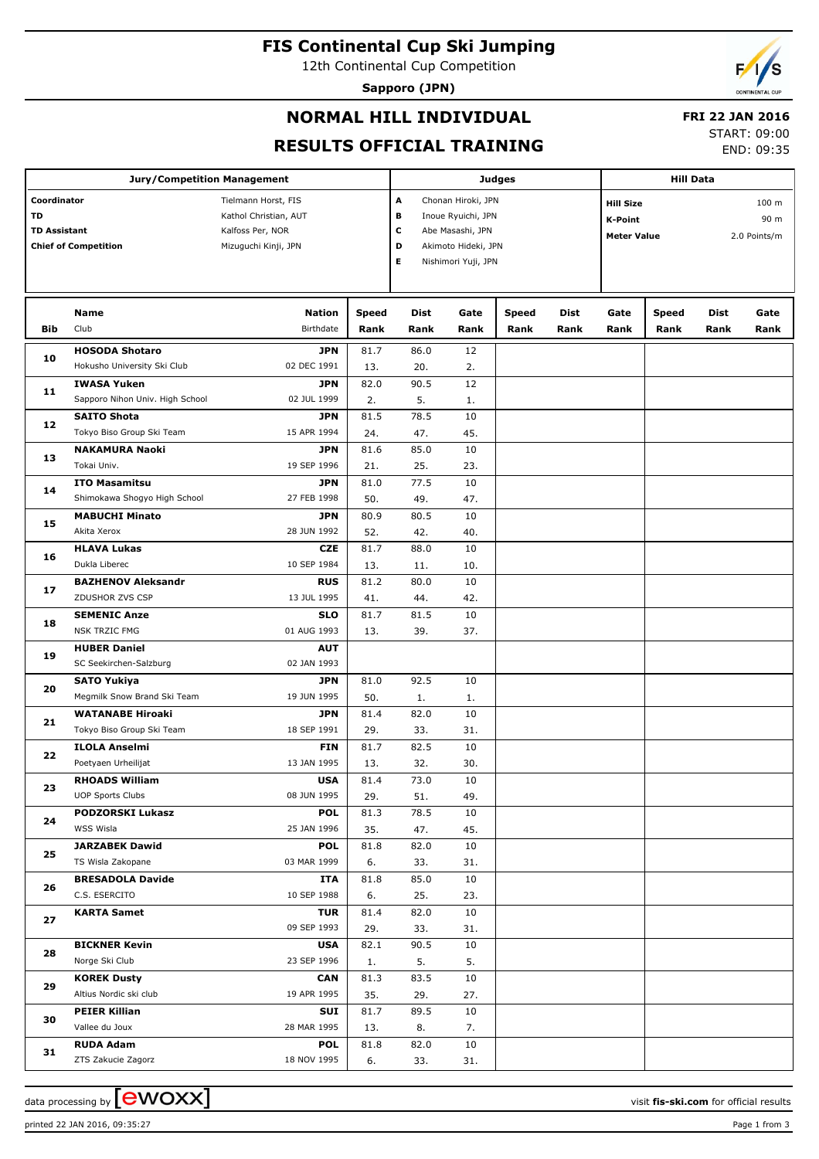## **FIS Continental Cup Ski Jumping**

12th Continental Cup Competition

**Sapporo (JPN)**



# **NORMAL HILL INDIVIDUAL**

## **FRI 22 JAN 2016**

**RESULTS OFFICIAL TRAINING**

START: 09:00 END: 09:35

|                     | <b>Jury/Competition Management</b>                     |                            |                      | Judges             | <b>Hill Data</b>    |                                      |              |              |                      |                     |              |
|---------------------|--------------------------------------------------------|----------------------------|----------------------|--------------------|---------------------|--------------------------------------|--------------|--------------|----------------------|---------------------|--------------|
| Coordinator         |                                                        | Tielmann Horst, FIS        | А                    | Chonan Hiroki, JPN |                     | <b>Hill Size</b><br>100 <sub>m</sub> |              |              |                      |                     |              |
| TD                  |                                                        | Kathol Christian, AUT      | в                    | Inoue Ryuichi, JPN |                     | <b>K-Point</b>                       |              |              | 90 m                 |                     |              |
| <b>TD Assistant</b> |                                                        | Kalfoss Per, NOR           | $\mathbf c$          | Abe Masashi, JPN   |                     | <b>Meter Value</b>                   |              |              | 2.0 Points/m         |                     |              |
|                     | <b>Chief of Competition</b>                            | Mizuguchi Kinji, JPN       |                      | D                  | Akimoto Hideki, JPN |                                      |              |              |                      |                     |              |
|                     |                                                        |                            |                      | Е                  | Nishimori Yuji, JPN |                                      |              |              |                      |                     |              |
|                     |                                                        |                            |                      |                    |                     |                                      |              |              |                      |                     |              |
|                     |                                                        |                            |                      |                    |                     |                                      |              |              |                      |                     |              |
| Bib                 | <b>Name</b><br>Club                                    | <b>Nation</b><br>Birthdate | <b>Speed</b><br>Rank | Dist<br>Rank       | Gate<br>Rank        | Speed<br>Rank                        | Dist<br>Rank | Gate<br>Rank | <b>Speed</b><br>Rank | <b>Dist</b><br>Rank | Gate<br>Rank |
|                     |                                                        |                            |                      |                    |                     |                                      |              |              |                      |                     |              |
| 10                  | <b>HOSODA Shotaro</b><br>Hokusho University Ski Club   | JPN<br>02 DEC 1991         | 81.7<br>13.          | 86.0<br>20.        | 12<br>2.            |                                      |              |              |                      |                     |              |
|                     | <b>IWASA Yuken</b>                                     | <b>JPN</b>                 | 82.0                 | 90.5               | 12                  |                                      |              |              |                      |                     |              |
| 11                  | Sapporo Nihon Univ. High School                        | 02 JUL 1999                | 2.                   | 5.                 |                     |                                      |              |              |                      |                     |              |
|                     | <b>SAITO Shota</b>                                     | <b>JPN</b>                 | 81.5                 | 78.5               | 1.<br>10            |                                      |              |              |                      |                     |              |
| 12                  | Tokyo Biso Group Ski Team                              | 15 APR 1994                | 24.                  | 47.                | 45.                 |                                      |              |              |                      |                     |              |
|                     | <b>NAKAMURA Naoki</b>                                  | <b>JPN</b>                 | 81.6                 | 85.0               | 10                  |                                      |              |              |                      |                     |              |
| 13                  | Tokai Univ.                                            | 19 SEP 1996                |                      |                    | 23.                 |                                      |              |              |                      |                     |              |
|                     | <b>ITO Masamitsu</b>                                   | <b>JPN</b>                 | 21.<br>81.0          | 25.<br>77.5        | 10                  |                                      |              |              |                      |                     |              |
| 14                  | Shimokawa Shogyo High School                           | 27 FEB 1998                | 50.                  |                    | 47.                 |                                      |              |              |                      |                     |              |
|                     |                                                        |                            |                      | 49.                |                     |                                      |              |              |                      |                     |              |
| 15                  | <b>MABUCHI Minato</b>                                  | <b>JPN</b>                 | 80.9                 | 80.5               | 10                  |                                      |              |              |                      |                     |              |
|                     | Akita Xerox                                            | 28 JUN 1992                | 52.                  | 42.                | 40.                 |                                      |              |              |                      |                     |              |
| 16                  | <b>HLAVA Lukas</b>                                     | <b>CZE</b>                 | 81.7                 | 88.0               | 10                  |                                      |              |              |                      |                     |              |
| 17<br>18<br>19      | Dukla Liberec                                          | 10 SEP 1984                | 13.                  | 11.                | 10.                 |                                      |              |              |                      |                     |              |
|                     | <b>BAZHENOV Aleksandr</b>                              | <b>RUS</b>                 | 81.2                 | 80.0               | 10                  |                                      |              |              |                      |                     |              |
|                     | ZDUSHOR ZVS CSP                                        | 13 JUL 1995                | 41.                  | 44.                | 42.                 |                                      |              |              |                      |                     |              |
|                     | <b>SEMENIC Anze</b>                                    | <b>SLO</b>                 | 81.7                 | 81.5               | 10                  |                                      |              |              |                      |                     |              |
|                     | <b>NSK TRZIC FMG</b>                                   | 01 AUG 1993                | 13.                  | 39.                | 37.                 |                                      |              |              |                      |                     |              |
|                     | <b>HUBER Daniel</b>                                    | <b>AUT</b>                 |                      |                    |                     |                                      |              |              |                      |                     |              |
|                     | SC Seekirchen-Salzburg                                 | 02 JAN 1993                |                      |                    |                     |                                      |              |              |                      |                     |              |
| 20                  | <b>SATO Yukiya</b>                                     | <b>JPN</b>                 | 81.0                 | 92.5               | 10                  |                                      |              |              |                      |                     |              |
|                     | Megmilk Snow Brand Ski Team<br><b>WATANABE Hiroaki</b> | 19 JUN 1995                | 50.                  | 1.                 | 1.                  |                                      |              |              |                      |                     |              |
| 21                  |                                                        | JPN                        | 81.4                 | 82.0               | 10                  |                                      |              |              |                      |                     |              |
|                     | Tokyo Biso Group Ski Team                              | 18 SEP 1991                | 29.                  | 33.                | 31.                 |                                      |              |              |                      |                     |              |
| 22                  | <b>ILOLA Anselmi</b><br>Poetyaen Urheilijat            | <b>FIN</b><br>13 JAN 1995  | 81.7<br>13.          | 82.5<br>32.        | 10<br>30.           |                                      |              |              |                      |                     |              |
|                     | <b>RHOADS William</b>                                  | <b>USA</b>                 | 81.4                 | 73.0               | 10                  |                                      |              |              |                      |                     |              |
| 23                  | <b>UOP Sports Clubs</b>                                | 08 JUN 1995                |                      |                    |                     |                                      |              |              |                      |                     |              |
|                     |                                                        |                            | 29.                  | 51.                | 49.                 |                                      |              |              |                      |                     |              |
| 24                  | <b>PODZORSKI Lukasz</b><br>WSS Wisla                   | <b>POL</b><br>25 JAN 1996  | 81.3<br>35.          | 78.5<br>47.        | 10<br>45.           |                                      |              |              |                      |                     |              |
|                     | <b>JARZABEK Dawid</b>                                  | <b>POL</b>                 | 81.8                 | 82.0               | 10                  |                                      |              |              |                      |                     |              |
| 25                  | TS Wisla Zakopane                                      | 03 MAR 1999                | 6.                   | 33.                | 31.                 |                                      |              |              |                      |                     |              |
|                     | <b>BRESADOLA Davide</b>                                |                            |                      | 85.0               |                     |                                      |              |              |                      |                     |              |
| 26                  | C.S. ESERCITO                                          | ITA<br>10 SEP 1988         | 81.8<br>6.           | 25.                | 10<br>23.           |                                      |              |              |                      |                     |              |
|                     |                                                        | <b>TUR</b>                 |                      | 82.0               |                     |                                      |              |              |                      |                     |              |
| 27                  | <b>KARTA Samet</b>                                     | 09 SEP 1993                | 81.4                 |                    | 10                  |                                      |              |              |                      |                     |              |
|                     | <b>BICKNER Kevin</b>                                   | <b>USA</b>                 | 29.<br>82.1          | 33.<br>90.5        | 31.<br>10           |                                      |              |              |                      |                     |              |
| 28                  | Norge Ski Club                                         | 23 SEP 1996                |                      | 5.                 | 5.                  |                                      |              |              |                      |                     |              |
| 29                  |                                                        |                            | 1.                   | 83.5               | 10                  |                                      |              |              |                      |                     |              |
|                     | <b>KOREK Dusty</b><br>Altius Nordic ski club           | <b>CAN</b><br>19 APR 1995  | 81.3<br>35.          |                    |                     |                                      |              |              |                      |                     |              |
|                     | <b>PEIER Killian</b>                                   |                            |                      | 29.<br>89.5        | 27.                 |                                      |              |              |                      |                     |              |
| 30                  | Vallee du Joux                                         | SUI<br>28 MAR 1995         | 81.7                 |                    | 10                  |                                      |              |              |                      |                     |              |
|                     |                                                        |                            | 13.                  | 8.                 | 7.                  |                                      |              |              |                      |                     |              |
| 31                  | <b>RUDA Adam</b><br>ZTS Zakucie Zagorz                 | <b>POL</b><br>18 NOV 1995  | 81.8                 | 82.0               | 10                  |                                      |              |              |                      |                     |              |
|                     |                                                        |                            | 6.                   | 33.                | 31.                 |                                      |              |              |                      |                     |              |

data processing by **CWOXX**  $\blacksquare$ 

printed 22 JAN 2016, 09:35:27 Page 1 from 3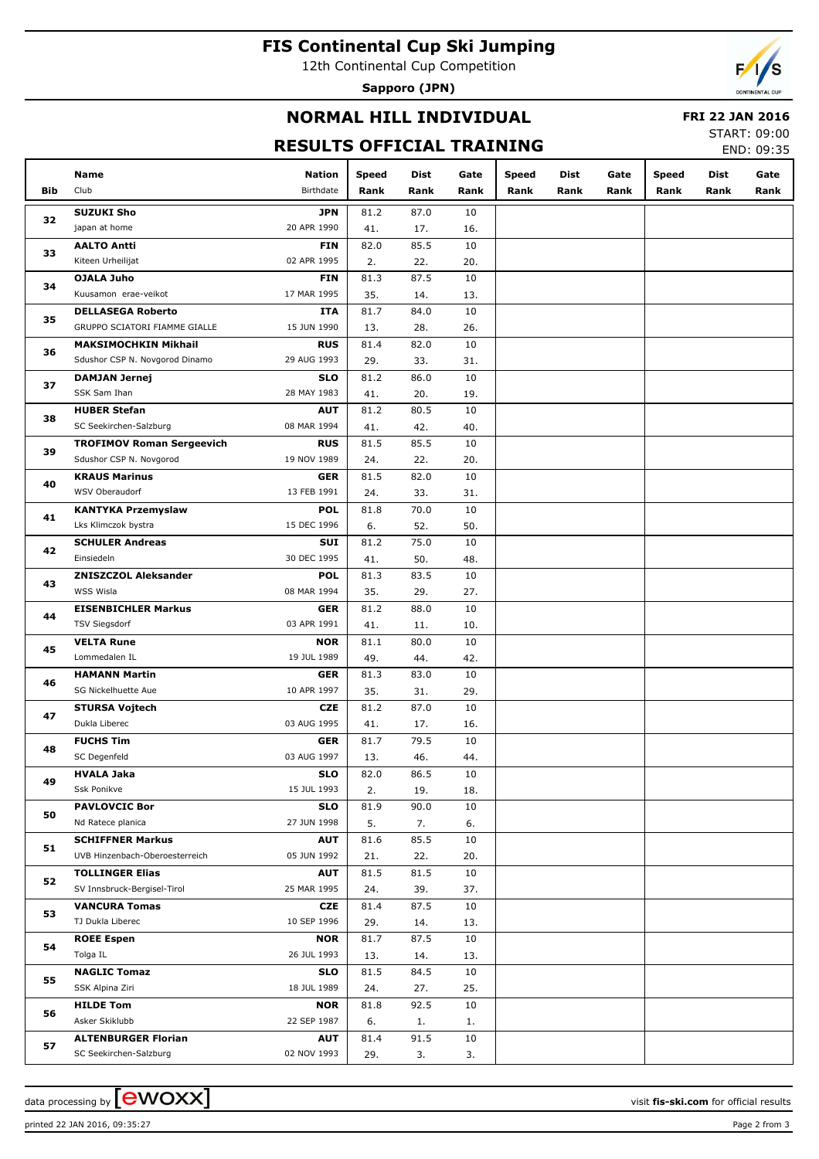## **FIS Continental Cup Ski Jumping**

12th Continental Cup Competition

**Sapporo (JPN)**



### **NORMAL HILL INDIVIDUAL**

#### **FRI 22 JAN 2016**

#### **RESULTS OFFICIAL TRAINING**

START: 09:00 END: 09:35

|          | Name                                    | <b>Nation</b>             | <b>Speed</b> | Dist        | Gate      | <b>Speed</b> | Dist | Gate | <b>Speed</b> | Dist | Gate |
|----------|-----------------------------------------|---------------------------|--------------|-------------|-----------|--------------|------|------|--------------|------|------|
| Bib      | Club                                    | Birthdate                 | Rank         | Rank        | Rank      | Rank         | Rank | Rank | Rank         | Rank | Rank |
|          | <b>SUZUKI Sho</b>                       | <b>JPN</b>                | 81.2         | 87.0        | 10        |              |      |      |              |      |      |
| 32       | japan at home                           | 20 APR 1990               | 41.          | 17.         | 16.       |              |      |      |              |      |      |
|          | <b>AALTO Antti</b>                      | <b>FIN</b>                | 82.0         | 85.5        | 10        |              |      |      |              |      |      |
| 33       | Kiteen Urheilijat                       | 02 APR 1995               | 2.           | 22.         | 20.       |              |      |      |              |      |      |
| 34       | <b>OJALA Juho</b>                       | <b>FIN</b>                | 81.3         | 87.5        | 10        |              |      |      |              |      |      |
|          | Kuusamon erae-veikot                    | 17 MAR 1995               | 35.          | 14.         | 13.       |              |      |      |              |      |      |
| 35       | <b>DELLASEGA Roberto</b>                | ITA                       | 81.7         | 84.0        | 10        |              |      |      |              |      |      |
|          | GRUPPO SCIATORI FIAMME GIALLE           | 15 JUN 1990               | 13.          | 28.         | 26.       |              |      |      |              |      |      |
| 36       | <b>MAKSIMOCHKIN Mikhail</b>             | <b>RUS</b>                | 81.4         | 82.0        | 10        |              |      |      |              |      |      |
|          | Sdushor CSP N. Novgorod Dinamo          | 29 AUG 1993               | 29.          | 33.         | 31.       |              |      |      |              |      |      |
| 37       | <b>DAMJAN Jernej</b>                    | <b>SLO</b>                | 81.2         | 86.0        | 10        |              |      |      |              |      |      |
|          | SSK Sam Ihan                            | 28 MAY 1983               | 41.          | 20.         | 19.       |              |      |      |              |      |      |
| 38       | <b>HUBER Stefan</b>                     | <b>AUT</b>                | 81.2         | 80.5        | 10        |              |      |      |              |      |      |
|          | SC Seekirchen-Salzburg                  | 08 MAR 1994               | 41.          | 42.         | 40.       |              |      |      |              |      |      |
| 39       | <b>TROFIMOV Roman Sergeevich</b>        | <b>RUS</b>                | 81.5         | 85.5        | 10        |              |      |      |              |      |      |
|          | Sdushor CSP N. Novgorod                 | 19 NOV 1989               | 24.          | 22.         | 20.       |              |      |      |              |      |      |
| 40       | <b>KRAUS Marinus</b>                    | <b>GER</b>                | 81.5         | 82.0        | 10        |              |      |      |              |      |      |
|          | WSV Oberaudorf                          | 13 FEB 1991               | 24.          | 33.         | 31.       |              |      |      |              |      |      |
| 41       | <b>KANTYKA Przemyslaw</b>               | <b>POL</b>                | 81.8         | 70.0        | 10        |              |      |      |              |      |      |
|          | Lks Klimczok bystra                     | 15 DEC 1996               | 6.           | 52.         | 50.       |              |      |      |              |      |      |
| 42       | <b>SCHULER Andreas</b>                  | SUI                       | 81.2         | 75.0        | 10        |              |      |      |              |      |      |
| 43<br>44 | Einsiedeln                              | 30 DEC 1995               | 41.          | 50.         | 48.       |              |      |      |              |      |      |
|          | <b>ZNISZCZOL Aleksander</b>             | <b>POL</b>                | 81.3         | 83.5        | 10        |              |      |      |              |      |      |
|          | WSS Wisla<br><b>EISENBICHLER Markus</b> | 08 MAR 1994<br><b>GER</b> | 35.          | 29.<br>88.0 | 27.<br>10 |              |      |      |              |      |      |
|          | <b>TSV Siegsdorf</b>                    | 03 APR 1991               | 81.2<br>41.  | 11.         | 10.       |              |      |      |              |      |      |
|          | <b>VELTA Rune</b>                       | <b>NOR</b>                | 81.1         | 80.0        | 10        |              |      |      |              |      |      |
| 45       | Lommedalen IL                           | 19 JUL 1989               | 49.          | 44.         | 42.       |              |      |      |              |      |      |
|          | <b>HAMANN Martin</b>                    | <b>GER</b>                | 81.3         | 83.0        | 10        |              |      |      |              |      |      |
| 46       | SG Nickelhuette Aue                     | 10 APR 1997               | 35.          | 31.         | 29.       |              |      |      |              |      |      |
|          | <b>STURSA Vojtech</b>                   | <b>CZE</b>                | 81.2         | 87.0        | 10        |              |      |      |              |      |      |
| 47       | Dukla Liberec                           | 03 AUG 1995               | 41.          | 17.         | 16.       |              |      |      |              |      |      |
|          | <b>FUCHS Tim</b>                        | <b>GER</b>                | 81.7         | 79.5        | 10        |              |      |      |              |      |      |
| 48       | SC Degenfeld                            | 03 AUG 1997               | 13.          | 46.         | 44.       |              |      |      |              |      |      |
|          | HVALA Jaka                              | <b>SLO</b>                | 82.0         | 86.5        | 10        |              |      |      |              |      |      |
| 49       | Ssk Ponikve                             | 15 JUL 1993               | 2.           | 19.         | 18.       |              |      |      |              |      |      |
|          | <b>PAVLOVCIC Bor</b>                    | <b>SLO</b>                | 81.9         | 90.0        | 10        |              |      |      |              |      |      |
| 50       | Nd Ratece planica                       | 27 JUN 1998               | 5.           | 7.          | 6.        |              |      |      |              |      |      |
|          | <b>SCHIFFNER Markus</b>                 | <b>AUT</b>                | 81.6         | 85.5        | 10        |              |      |      |              |      |      |
| 51       | UVB Hinzenbach-Oberoesterreich          | 05 JUN 1992               | 21.          | 22.         | 20.       |              |      |      |              |      |      |
| 52       | <b>TOLLINGER Elias</b>                  | <b>AUT</b>                | 81.5         | 81.5        | 10        |              |      |      |              |      |      |
|          | SV Innsbruck-Bergisel-Tirol             | 25 MAR 1995               | 24.          | 39.         | 37.       |              |      |      |              |      |      |
| 53       | <b>VANCURA Tomas</b>                    | CZE                       | 81.4         | 87.5        | 10        |              |      |      |              |      |      |
|          | TJ Dukla Liberec                        | 10 SEP 1996               | 29.          | 14.         | 13.       |              |      |      |              |      |      |
| 54       | <b>ROEE Espen</b>                       | <b>NOR</b>                | 81.7         | 87.5        | 10        |              |      |      |              |      |      |
|          | Tolga IL                                | 26 JUL 1993               | 13.          | 14.         | 13.       |              |      |      |              |      |      |
| 55       | <b>NAGLIC Tomaz</b>                     | <b>SLO</b>                | 81.5         | 84.5        | 10        |              |      |      |              |      |      |
|          | SSK Alpina Ziri                         | 18 JUL 1989               | 24.          | 27.         | 25.       |              |      |      |              |      |      |
| 56       | <b>HILDE Tom</b>                        | <b>NOR</b>                | 81.8         | 92.5        | 10        |              |      |      |              |      |      |
|          | Asker Skiklubb                          | 22 SEP 1987               | 6.           | 1.          | 1.        |              |      |      |              |      |      |
| 57       | <b>ALTENBURGER Florian</b>              | <b>AUT</b>                | 81.4         | 91.5        | 10        |              |      |      |              |      |      |
|          | SC Seekirchen-Salzburg                  | 02 NOV 1993               | 29.          | 3.          | 3.        |              |      |      |              |      |      |

printed 22 JAN 2016, 09:35:27 Page 2 from 3

data processing by  $\boxed{\text{ewOX}}$